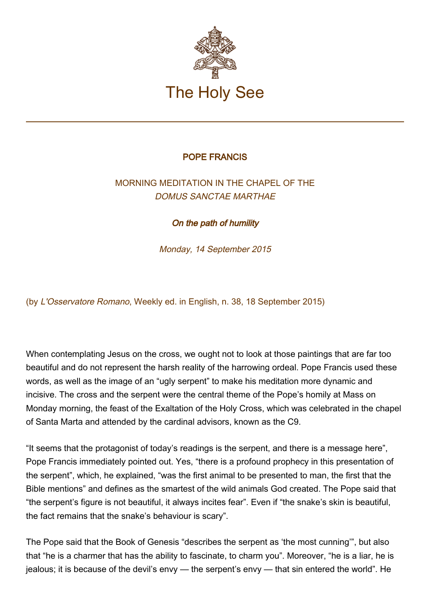

## POPE FRANCIS

## MORNING MEDITATION IN THE CHAPEL OF THE DOMUS SANCTAE MARTHAE

On the path of humility

Monday, 14 September 2015

(by L'Osservatore Romano, Weekly ed. in English, n. 38, 18 September 2015)

When contemplating Jesus on the cross, we ought not to look at those paintings that are far too beautiful and do not represent the harsh reality of the harrowing ordeal. Pope Francis used these words, as well as the image of an "ugly serpent" to make his meditation more dynamic and incisive. The cross and the serpent were the central theme of the Pope's homily at Mass on Monday morning, the feast of the Exaltation of the Holy Cross, which was celebrated in the chapel of Santa Marta and attended by the cardinal advisors, known as the C9.

"It seems that the protagonist of today's readings is the serpent, and there is a message here", Pope Francis immediately pointed out. Yes, "there is a profound prophecy in this presentation of the serpent", which, he explained, "was the first animal to be presented to man, the first that the Bible mentions" and defines as the smartest of the wild animals God created. The Pope said that "the serpent's figure is not beautiful, it always incites fear". Even if "the snake's skin is beautiful, the fact remains that the snake's behaviour is scary".

The Pope said that the Book of Genesis "describes the serpent as 'the most cunning'", but also that "he is a charmer that has the ability to fascinate, to charm you". Moreover, "he is a liar, he is jealous; it is because of the devil's envy — the serpent's envy — that sin entered the world". He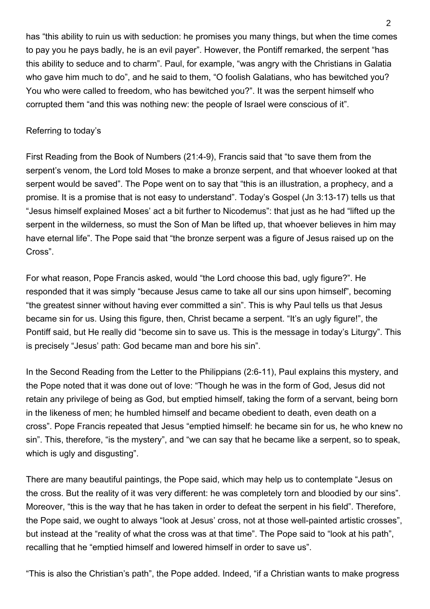has "this ability to ruin us with seduction: he promises you many things, but when the time comes to pay you he pays badly, he is an evil payer". However, the Pontiff remarked, the serpent "has this ability to seduce and to charm". Paul, for example, "was angry with the Christians in Galatia who gave him much to do", and he said to them, "O foolish Galatians, who has bewitched you? You who were called to freedom, who has bewitched you?". It was the serpent himself who corrupted them "and this was nothing new: the people of Israel were conscious of it".

## Referring to today's

First Reading from the Book of Numbers (21:4-9), Francis said that "to save them from the serpent's venom, the Lord told Moses to make a bronze serpent, and that whoever looked at that serpent would be saved". The Pope went on to say that "this is an illustration, a prophecy, and a promise. It is a promise that is not easy to understand". Today's Gospel (Jn 3:13-17) tells us that "Jesus himself explained Moses' act a bit further to Nicodemus": that just as he had "lifted up the serpent in the wilderness, so must the Son of Man be lifted up, that whoever believes in him may have eternal life". The Pope said that "the bronze serpent was a figure of Jesus raised up on the Cross".

For what reason, Pope Francis asked, would "the Lord choose this bad, ugly figure?". He responded that it was simply "because Jesus came to take all our sins upon himself", becoming "the greatest sinner without having ever committed a sin". This is why Paul tells us that Jesus became sin for us. Using this figure, then, Christ became a serpent. "It's an ugly figure!", the Pontiff said, but He really did "become sin to save us. This is the message in today's Liturgy". This is precisely "Jesus' path: God became man and bore his sin".

In the Second Reading from the Letter to the Philippians (2:6-11), Paul explains this mystery, and the Pope noted that it was done out of love: "Though he was in the form of God, Jesus did not retain any privilege of being as God, but emptied himself, taking the form of a servant, being born in the likeness of men; he humbled himself and became obedient to death, even death on a cross". Pope Francis repeated that Jesus "emptied himself: he became sin for us, he who knew no sin". This, therefore, "is the mystery", and "we can say that he became like a serpent, so to speak, which is ugly and disgusting".

There are many beautiful paintings, the Pope said, which may help us to contemplate "Jesus on the cross. But the reality of it was very different: he was completely torn and bloodied by our sins". Moreover, "this is the way that he has taken in order to defeat the serpent in his field". Therefore, the Pope said, we ought to always "look at Jesus' cross, not at those well-painted artistic crosses", but instead at the "reality of what the cross was at that time". The Pope said to "look at his path", recalling that he "emptied himself and lowered himself in order to save us".

"This is also the Christian's path", the Pope added. Indeed, "if a Christian wants to make progress